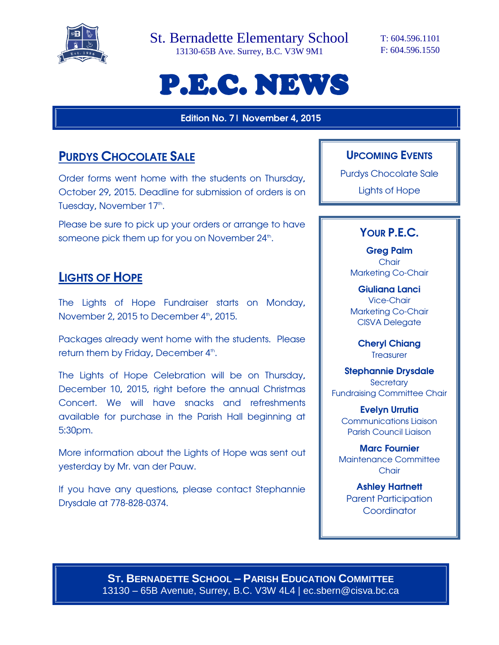

St. Bernadette Elementary School

13130-65B Ave. Surrey, B.C. V3W 9M1

T: 604.596.1101 F: 604.596.1550

# P.E.C. NEWS

**Edition No. 7| November 4, 2015**

## **PURDYS CHOCOLATE SALE**

Order forms went home with the students on Thursday, October 29, 2015. Deadline for submission of orders is on Tuesday, November 17<sup>th</sup>.

Please be sure to pick up your orders or arrange to have someone pick them up for you on November 24<sup>th</sup>.

### **LIGHTS OF HOPE**

The Lights of Hope Fundraiser starts on Monday, November 2, 2015 to December 4<sup>th</sup>, 2015.

Packages already went home with the students. Please return them by Friday, December 4<sup>th</sup>.

The Lights of Hope Celebration will be on Thursday, December 10, 2015, right before the annual Christmas Concert. We will have snacks and refreshments available for purchase in the Parish Hall beginning at 5:30pm.

More information about the Lights of Hope was sent out yesterday by Mr. van der Pauw.

If you have any questions, please contact Stephannie Drysdale at 778-828-0374.

#### **UPCOMING EVENTS**

Purdys Chocolate Sale

Lights of Hope

#### **YOUR P.E.C.**

**Greg Palm Chair** Marketing Co-Chair

**Giuliana Lanci** Vice-Chair Marketing Co-Chair CISVA Delegate

> **Cheryl Chiang Treasurer**

**Stephannie Drysdale Secretary** Fundraising Committee Chair

**Evelyn Urrutia** Communications Liaison Parish Council Liaison

**Marc Fournier** Maintenance Committee **Chair** 

**Ashley Hartnett** Parent Participation **Coordinator** 

**ST. BERNADETTE SCHOOL – PARISH EDUCATION COMMITTEE** 13130 – 65B Avenue, Surrey, B.C. V3W 4L4 | ec.sbern@cisva.bc.ca